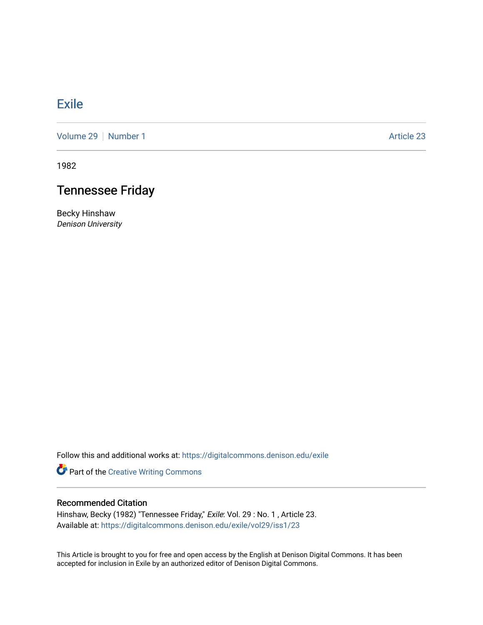## **[Exile](https://digitalcommons.denison.edu/exile)**

[Volume 29](https://digitalcommons.denison.edu/exile/vol29) | [Number 1](https://digitalcommons.denison.edu/exile/vol29/iss1) Article 23

1982

## Tennessee Friday

Becky Hinshaw Denison University

Follow this and additional works at: [https://digitalcommons.denison.edu/exile](https://digitalcommons.denison.edu/exile?utm_source=digitalcommons.denison.edu%2Fexile%2Fvol29%2Fiss1%2F23&utm_medium=PDF&utm_campaign=PDFCoverPages) 

Part of the [Creative Writing Commons](http://network.bepress.com/hgg/discipline/574?utm_source=digitalcommons.denison.edu%2Fexile%2Fvol29%2Fiss1%2F23&utm_medium=PDF&utm_campaign=PDFCoverPages) 

## Recommended Citation

Hinshaw, Becky (1982) "Tennessee Friday," Exile: Vol. 29 : No. 1 , Article 23. Available at: [https://digitalcommons.denison.edu/exile/vol29/iss1/23](https://digitalcommons.denison.edu/exile/vol29/iss1/23?utm_source=digitalcommons.denison.edu%2Fexile%2Fvol29%2Fiss1%2F23&utm_medium=PDF&utm_campaign=PDFCoverPages)

This Article is brought to you for free and open access by the English at Denison Digital Commons. It has been accepted for inclusion in Exile by an authorized editor of Denison Digital Commons.